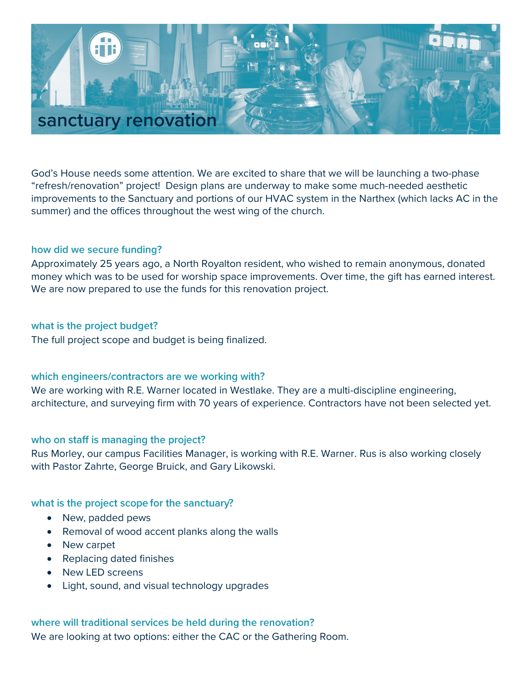# sanctuary renovation

God's House needs some attention. We are excited to share that we will be launching a two-phase "refresh/renovation" project! Design plans are underway to make some much-needed aesthetic improvements to the Sanctuary and portions of our HVAC system in the Narthex (which lacks AC in the summer) and the offices throughout the west wing of the church.

# how did we secure funding?

Approximately 25 years ago, a North Royalton resident, who wished to remain anonymous, donated money which was to be used for worship space improvements. Over time, the gift has earned interest. We are now prepared to use the funds for this renovation project.

# what is the project budget?

The full project scope and budget is being finalized.

# which engineers/contractors are we working with?

We are working with R.E. Warner located in Westlake. They are a multi-discipline engineering, architecture, and surveying firm with 70 years of experience. Contractors have not been selected yet.

# who on staff is managing the project?

Rus Morley, our campus Facilities Manager, is working with R.E. Warner. Rus is also working closely with Pastor Zahrte, George Bruick, and Gary Likowski.

# what is the project scope for the sanctuary?

- New, padded pews
- Removal of wood accent planks along the walls
- New carpet
- Replacing dated finishes
- New LED screens
- Light, sound, and visual technology upgrades

# where will traditional services be held during the renovation?

We are looking at two options: either the CAC or the Gathering Room.